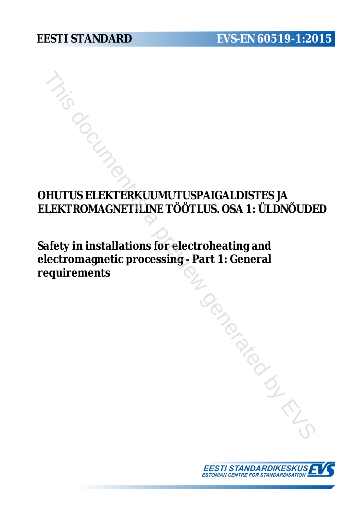# **OHUTUS ELEKTERKUUMUTUSPAIGALDISTES JA ELEKTROMAGNETILINE TÖÖTLUS. OSA 1: ÜLDNÕUDED**

**Safety in installations for electroheating and electromagnetic processing - Part 1: General requirements** THIS SELEKTERKUUMUTUSPAIGALDISTES JA<br>
LEKTROMAGNETILINE TÖÖTLUS. OSA 1: ÜLDNÕUDI<br>
afety in installations for electroheating and<br>
lectromagnetic processing - Part 1: General<br>
equirements

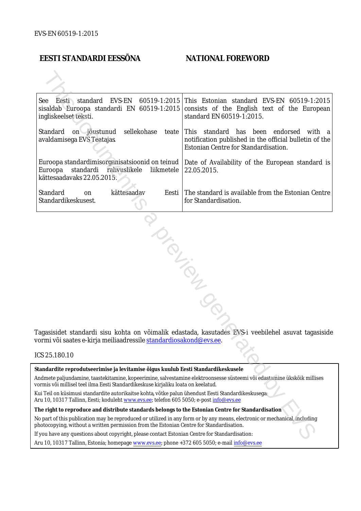#### **EESTI STANDARDI EESSÕNA NATIONAL FOREWORD**

| See Eesti standard<br>ingliskeelset teksti.                                                                                                                                                                            | EVS-EN 60519-1:2015 This Estonian standard EVS-EN 60519-1:2015<br>sisaldab Euroopa standardi EN 60519-1:2015 consists of the English text of the European<br>standard EN 60519-1:2015. |
|------------------------------------------------------------------------------------------------------------------------------------------------------------------------------------------------------------------------|----------------------------------------------------------------------------------------------------------------------------------------------------------------------------------------|
| Standard<br>sellekohase<br>on jõustunud<br>avaldamisega EVS Teatajas                                                                                                                                                   | teate This standard has been endorsed<br>with a<br>notification published in the official bulletin of the<br>Estonian Centre for Standardisation.                                      |
| Euroopa standardimisorganisatsioonid on teinud  <br>Euroopa<br>standardi rahvuslikele<br>liikmetele<br>kättesaadavaks 22.05.2015.                                                                                      | Date of Availability of the European standard is<br>22.05.2015.                                                                                                                        |
| Standard<br>kättesaadav<br>Eesti  <br>on<br>Standardikeskusest.                                                                                                                                                        | The standard is available from the Estonian Centre<br>for Standardisation.                                                                                                             |
| vormi või saates e-kirja meiliaadressile <u>standardiosakond@evs.ee</u> .<br>ICS 25.180.10                                                                                                                             | Tagasisidet standardi sisu kohta on võimalik edastada, kasutades EVS-i veebilehel asuvat tagasiside                                                                                    |
|                                                                                                                                                                                                                        |                                                                                                                                                                                        |
| Standardite reprodutseerimise ja levitamise õigus kuulub Eesti Standardikeskusele                                                                                                                                      |                                                                                                                                                                                        |
| Andmete paljundamine, taastekitamine, kopeerimine, salvestamine elektroonsesse süsteemi või edastamine ükskõik millises<br>vormis või millisel teel ilma Eesti Standardikeskuse kirjaliku loata on keelatud.           |                                                                                                                                                                                        |
| Kui Teil on küsimusi standardite autorikaitse kohta, võtke palun ühendust Eesti Standardikeskusega:<br>Aru 10, 10317 Tallinn, Eesti; koduleht www.evs.ee; telefon 605 5050; e-post info@evs.ee                         |                                                                                                                                                                                        |
| The right to reproduce and distribute standards belongs to the Estonian Centre for Standardisation                                                                                                                     |                                                                                                                                                                                        |
| No part of this publication may be reproduced or utilized in any form or by any means, electronic or mechanical, including<br>ohotocopying, without a written permission from the Estonian Centre for Standardisation. |                                                                                                                                                                                        |
| If you have any questions about copyright, please contact Estonian Centre for Standardisation:                                                                                                                         |                                                                                                                                                                                        |
|                                                                                                                                                                                                                        |                                                                                                                                                                                        |

#### ICS 25.180.10

Aru 10, 10317 Tallinn, Estonia; homepage [www.evs.ee](http://www.evs.ee/); phone +372 605 5050; e-mail info@evs.ee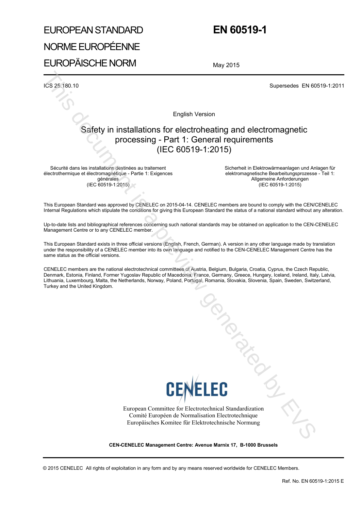# EUROPEAN STANDARD NORME EUROPÉENNE EUROPÄISCHE NORM

## **EN 60519-1**

May 2015

ICS 25.180.10 Supersedes EN 60519-1:2011

English Version

# Safety in installations for electroheating and electromagnetic processing - Part 1: General requirements (IEC 60519-1:2015) The first external interaction of the control of the control of the control of the control of the control of the control of the control of the control of the control of the control of the control of the control of the con

Sécurité dans les installations destinées au traitement électrothermique et électromagnétique - Partie 1: Exigences générales (IEC 60519-1:2015)

Sicherheit in Elektrowärmeanlagen und Anlagen für elektromagnetische Bearbeitungsprozesse - Teil 1: Allgemeine Anforderungen (IEC 60519-1:2015)

This European Standard was approved by CENELEC on 2015-04-14. CENELEC members are bound to comply with the CEN/CENELEC Internal Regulations which stipulate the conditions for giving this European Standard the status of a national standard without any alteration.

Up-to-date lists and bibliographical references concerning such national standards may be obtained on application to the CEN-CENELEC Management Centre or to any CENELEC member.

This European Standard exists in three official versions (English, French, German). A version in any other language made by translation under the responsibility of a CENELEC member into its own language and notified to the CEN-CENELEC Management Centre has the same status as the official versions.

CENELEC members are the national electrotechnical committees of Austria, Belgium, Bulgaria, Croatia, Cyprus, the Czech Republic, Denmark, Estonia, Finland, Former Yugoslav Republic of Macedonia, France, Germany, Greece, Hungary, Iceland, Ireland, Italy, Latvia, Lithuania, Luxembourg, Malta, the Netherlands, Norway, Poland, Portugal, Romania, Slovakia, Slovenia, Spain, Sweden, Switzerland, Turkey and the United Kingdom.



European Committee for Electrotechnical Standardization Comité Européen de Normalisation Electrotechnique Europäisches Komitee für Elektrotechnische Normung

**CEN-CENELEC Management Centre: Avenue Marnix 17, B-1000 Brussels**

© 2015 CENELEC All rights of exploitation in any form and by any means reserved worldwide for CENELEC Members.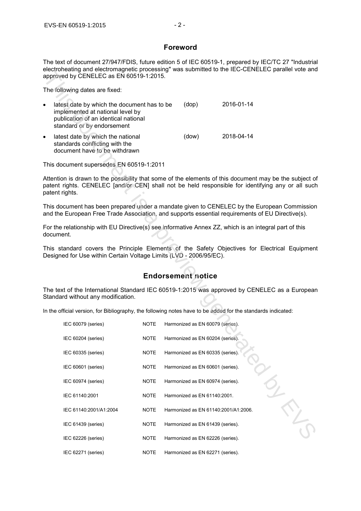#### **Foreword**

The text of document 27/947/FDIS, future edition 5 of IEC 60519-1, prepared by IEC/TC 27 "Industrial electroheating and electromagnetic processing" was submitted to the IEC-CENELEC parallel vote and approved by CENELEC as EN 60519-1:2015.

| $\bullet$ | latest date by which the document has to be<br>implemented at national level by<br>publication of an identical national<br>standard or by endorsement | (dop) | 2016-01-14 |
|-----------|-------------------------------------------------------------------------------------------------------------------------------------------------------|-------|------------|
| $\bullet$ | latest date by which the national<br>standards conflicting with the<br>document have to be withdrawn                                                  | (dow) | 2018-04-14 |

#### **Endorsement notice**

| City in the city of the city of the contraction of the contraction of the contraction of the city of the city<br>approved by CENELEC as EN 60519-1:2015.                                                                      |             |                                      |            |  |
|-------------------------------------------------------------------------------------------------------------------------------------------------------------------------------------------------------------------------------|-------------|--------------------------------------|------------|--|
| The following dates are fixed:                                                                                                                                                                                                |             |                                      |            |  |
| latest date by which the document has to be<br>$\bullet$<br>implemented at national level by<br>publication of an identical national<br>standard or by endorsement                                                            |             | (dop)                                | 2016-01-14 |  |
| latest date by which the national<br>$\bullet$<br>standards conflicting with the<br>document have to be withdrawn                                                                                                             |             | (dow)                                | 2018-04-14 |  |
| This document supersedes EN 60519-1:2011                                                                                                                                                                                      |             |                                      |            |  |
| Attention is drawn to the possibility that some of the elements of this document may be the subject of<br>patent rights. CENELEC [and/or CEN] shall not be held responsible for identifying any or all such<br>patent rights. |             |                                      |            |  |
| This document has been prepared under a mandate given to CENELEC by the European Commission<br>and the European Free Trade Association, and supports essential requirements of EU Directive(s).                               |             |                                      |            |  |
| For the relationship with EU Directive(s) see informative Annex ZZ, which is an integral part of this<br>document.                                                                                                            |             |                                      |            |  |
| This standard covers the Principle Elements of the Safety Objectives for Electrical Equipment<br>Designed for Use within Certain Voltage Limits (LVD - 2006/95/EC).                                                           |             |                                      |            |  |
|                                                                                                                                                                                                                               |             | <b>Endorsement notice</b>            |            |  |
| The text of the International Standard IEC 60519-1:2015 was approved by CENELEC as a European<br>Standard without any modification.                                                                                           |             |                                      |            |  |
| In the official version, for Bibliography, the following notes have to be added for the standards indicated:                                                                                                                  |             |                                      |            |  |
| IEC 60079 (series)                                                                                                                                                                                                            | <b>NOTE</b> | Harmonized as EN 60079 (series).     |            |  |
| IEC 60204 (series)                                                                                                                                                                                                            | <b>NOTE</b> | Harmonized as EN 60204 (series).     |            |  |
| IEC 60335 (series)                                                                                                                                                                                                            | <b>NOTE</b> | Harmonized as EN 60335 (series).     |            |  |
| IEC 60601 (series)                                                                                                                                                                                                            | <b>NOTE</b> | Harmonized as EN 60601 (series).     |            |  |
| IEC 60974 (series)                                                                                                                                                                                                            | <b>NOTE</b> | Harmonized as EN 60974 (series).     |            |  |
| IEC 61140:2001                                                                                                                                                                                                                | <b>NOTE</b> | Harmonized as EN 61140:2001.         |            |  |
| IEC 61140:2001/A1:2004                                                                                                                                                                                                        | <b>NOTE</b> | Harmonized as EN 61140:2001/A1:2006. |            |  |
| IEC 61439 (series)                                                                                                                                                                                                            | <b>NOTE</b> | Harmonized as EN 61439 (series).     |            |  |
| IEC 62226 (series)                                                                                                                                                                                                            | <b>NOTE</b> | Harmonized as EN 62226 (series).     |            |  |
| IEC 62271 (series)                                                                                                                                                                                                            | <b>NOTE</b> | Harmonized as EN 62271 (series).     |            |  |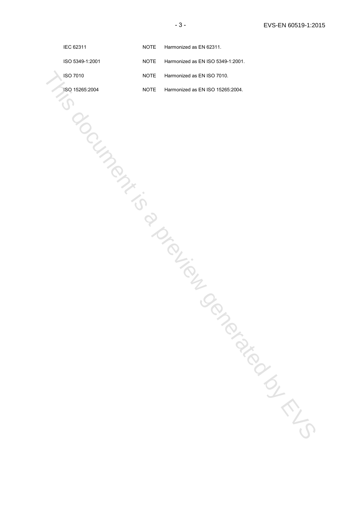| IEC 62311       | <b>NOTE</b> | Harmonized as EN 62311.           |
|-----------------|-------------|-----------------------------------|
| ISO 5349-1:2001 | <b>NOTE</b> | Harmonized as EN ISO 5349-1:2001. |
| ISO 7010        | <b>NOTE</b> | Harmonized as EN ISO 7010.        |
| ISO 15265:2004  | <b>NOTE</b> | Harmonized as EN ISO 15265:2004.  |
|                 |             |                                   |
|                 |             |                                   |
|                 |             |                                   |
| OCIUMPOL        |             |                                   |
|                 |             |                                   |
|                 |             |                                   |
|                 |             |                                   |
|                 |             |                                   |
|                 |             | Drainy of                         |
|                 |             |                                   |
|                 |             |                                   |
|                 |             |                                   |
|                 |             |                                   |
|                 |             |                                   |
|                 |             |                                   |
|                 |             | INDEPENDENCE                      |
|                 |             |                                   |
|                 |             |                                   |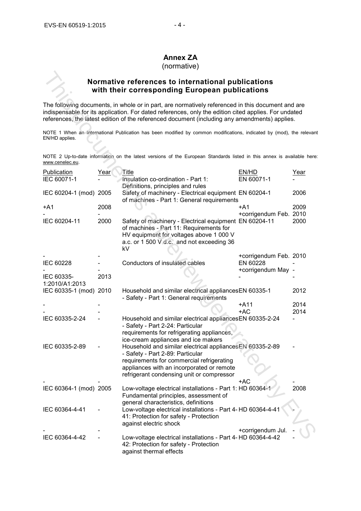### **Annex ZA**

(normative)

#### **Normative references to international publications with their corresponding European publications**

|                                   |             | Normative references to international publications<br>with their corresponding European publications                                                                                                                                                                                                       |                                    |             |
|-----------------------------------|-------------|------------------------------------------------------------------------------------------------------------------------------------------------------------------------------------------------------------------------------------------------------------------------------------------------------------|------------------------------------|-------------|
|                                   |             | The following documents, in whole or in part, are normatively referenced in this document and are<br>indispensable for its application. For dated references, only the edition cited applies. For undated<br>references, the latest edition of the referenced document (including any amendments) applies. |                                    |             |
| EN/HD applies.                    |             | NOTE 1 When an International Publication has been modified by common modifications, indicated by (mod), the relevant                                                                                                                                                                                       |                                    |             |
| www.cenelec.eu.                   |             | NOTE 2 Up-to-date information on the latest versions of the European Standards listed in this annex is available here:                                                                                                                                                                                     |                                    |             |
| <b>Publication</b><br>IEC 60071-1 | <u>Year</u> | Title<br>Insulation co-ordination - Part 1:<br>Definitions, principles and rules                                                                                                                                                                                                                           | EN/HD<br>EN 60071-1                | <u>Year</u> |
| IEC 60204-1 (mod) 2005            |             | Safety of machinery - Electrical equipment EN 60204-1<br>of machines - Part 1: General requirements                                                                                                                                                                                                        |                                    | 2006        |
| +A1                               | 2008        |                                                                                                                                                                                                                                                                                                            | $+A1$<br>+corrigendum Feb. 2010    | 2009        |
| IEC 60204-11                      | 2000        | Safety of machinery - Electrical equipment EN 60204-11<br>of machines - Part 11: Requirements for<br>HV equipment for voltages above 1 000 V<br>a.c. or 1 500 V d.c. and not exceeding 36<br>kV                                                                                                            |                                    | 2000        |
| IEC 60228                         |             | Conductors of insulated cables                                                                                                                                                                                                                                                                             | +corrigendum Feb. 2010<br>EN 60228 |             |
| IEC 60335-<br>1:2010/A1:2013      | 2013        |                                                                                                                                                                                                                                                                                                            | +corrigendum May -                 |             |
| IEC 60335-1 (mod) 2010            |             | Household and similar electrical appliancesEN 60335-1<br>- Safety - Part 1: General requirements                                                                                                                                                                                                           |                                    | 2012        |
|                                   |             |                                                                                                                                                                                                                                                                                                            | $+A11$                             | 2014        |
| IEC 60335-2-24                    |             | Household and similar electrical appliances EN 60335-2-24<br>- Safety - Part 2-24: Particular<br>requirements for refrigerating appliances,                                                                                                                                                                | +AC                                | 2014        |
| IEC 60335-2-89                    |             | ice-cream appliances and ice makers<br>Household and similar electrical appliances EN 60335-2-89<br>- Safety - Part 2-89: Particular<br>requirements for commercial refrigerating<br>appliances with an incorporated or remote<br>refrigerant condensing unit or compressor                                |                                    |             |
| IEC 60364-1 (mod) 2005            |             | Low-voltage electrical installations - Part 1: HD 60364-1<br>Fundamental principles, assessment of                                                                                                                                                                                                         | +AC                                | 2008        |
| IEC 60364-4-41                    |             | general characteristics, definitions<br>Low-voltage electrical installations - Part 4- HD 60364-4-41<br>41: Protection for safety - Protection<br>against electric shock                                                                                                                                   |                                    |             |
| IEC 60364-4-42                    |             | Low-voltage electrical installations - Part 4-HD 60364-4-42<br>42: Protection for safety - Protection<br>against thermal effects                                                                                                                                                                           | +corrigendum Jul.                  |             |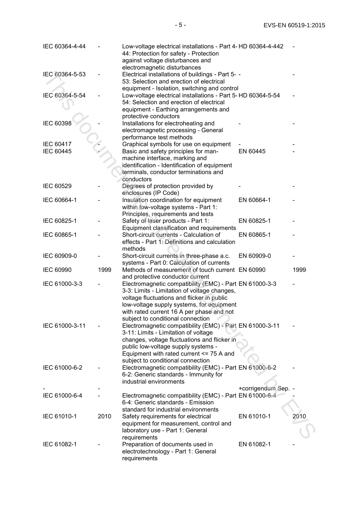| IEC 60364-4-44   |      | Low-voltage electrical installations - Part 4-HD 60364-4-442<br>44: Protection for safety - Protection<br>against voltage disturbances and                                                                                                                                           |                     |      |
|------------------|------|--------------------------------------------------------------------------------------------------------------------------------------------------------------------------------------------------------------------------------------------------------------------------------------|---------------------|------|
| IEC 60364-5-53   |      | electromagnetic disturbances<br>Electrical installations of buildings - Part 5- -<br>53: Selection and erection of electrical<br>equipment - Isolation, switching and control                                                                                                        |                     |      |
| IEC 60364-5-54   |      | Low-voltage electrical installations - Part 5-HD 60364-5-54<br>54: Selection and erection of electrical<br>equipment - Earthing arrangements and<br>protective conductors                                                                                                            |                     |      |
| IEC 60398        |      | Installations for electroheating and<br>electromagnetic processing - General<br>performance test methods                                                                                                                                                                             |                     |      |
| IEC 60417        |      | Graphical symbols for use on equipment                                                                                                                                                                                                                                               |                     |      |
| <b>IEC 60445</b> |      | Basic and safety principles for man-<br>machine interface, marking and<br>identification - Identification of equipment<br>terminals, conductor terminations and<br>conductors                                                                                                        | EN 60445            |      |
| IEC 60529        |      | Degrees of protection provided by<br>enclosures (IP Code)                                                                                                                                                                                                                            |                     |      |
| IEC 60664-1      |      | Insulation coordination for equipment<br>within low-voltage systems - Part 1:<br>Principles, requirements and tests                                                                                                                                                                  | EN 60664-1          |      |
| IEC 60825-1      |      | Safety of laser products - Part 1:<br>Equipment classification and requirements                                                                                                                                                                                                      | EN 60825-1          |      |
| IEC 60865-1      |      | Short-circuit currents - Calculation of<br>effects - Part 1: Definitions and calculation<br>methods                                                                                                                                                                                  | EN 60865-1          |      |
| IEC 60909-0      |      | Short-circuit currents in three-phase a.c.<br>systems - Part 0: Calculation of currents                                                                                                                                                                                              | EN 60909-0          |      |
| <b>IEC 60990</b> | 1999 | Methods of measurement of touch current EN 60990<br>and protective conductor current                                                                                                                                                                                                 |                     | 1999 |
| IEC 61000-3-3    |      | Electromagnetic compatibility (EMC) - Part EN 61000-3-3<br>3-3: Limits - Limitation of voltage changes,<br>voltage fluctuations and flicker in public<br>low-voltage supply systems, for equipment<br>with rated current 16 A per phase and not<br>subject to conditional connection |                     |      |
| IEC 61000-3-11   |      | Electromagnetic compatibility (EMC) - Part EN 61000-3-11<br>3-11: Limits - Limitation of voltage<br>changes, voltage fluctuations and flicker in<br>public low-voltage supply systems -<br>Equipment with rated current $\leq$ 75 A and<br>subject to conditional connection         |                     |      |
| IEC 61000-6-2    |      | Electromagnetic compatibility (EMC) - Part EN 61000-6-2<br>6-2: Generic standards - Immunity for<br>industrial environments                                                                                                                                                          |                     |      |
|                  |      |                                                                                                                                                                                                                                                                                      | +corrigendum Sep. - |      |
| IEC 61000-6-4    |      | Electromagnetic compatibility (EMC) - Part EN 61000-6-4<br>6-4: Generic standards - Emission<br>standard for industrial environments                                                                                                                                                 |                     |      |
| IEC 61010-1      | 2010 | Safety requirements for electrical<br>equipment for measurement, control and<br>laboratory use - Part 1: General                                                                                                                                                                     | EN 61010-1          | 2010 |
| IEC 61082-1      |      | requirements<br>Preparation of documents used in<br>electrotechnology - Part 1: General<br>requirements                                                                                                                                                                              | EN 61082-1          |      |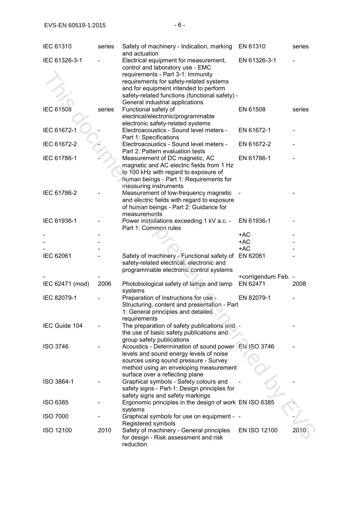| <b>IEC 61310</b> | series | Safety of machinery - Indication, marking<br>and actuation                                                                                                                                                                                                                              | EN 61310            | series |
|------------------|--------|-----------------------------------------------------------------------------------------------------------------------------------------------------------------------------------------------------------------------------------------------------------------------------------------|---------------------|--------|
| IEC 61326-3-1    |        | Electrical equipment for measurement,<br>control and laboratory use - EMC<br>requirements - Part 3-1: Immunity<br>requirements for safety-related systems<br>and for equipment intended to perform<br>safety-related functions (functional safety) -<br>General industrial applications | EN 61326-3-1        |        |
| <b>IEC 61508</b> | series | Functional safety of<br>electrical/electronic/programmable<br>electronic safety-related systems                                                                                                                                                                                         | EN 61508            | series |
| IEC 61672-1      |        | Electroacoustics - Sound level meters -<br>Part 1: Specifications                                                                                                                                                                                                                       | EN 61672-1          |        |
| IEC 61672-2      |        | Electroacoustics - Sound level meters -<br>Part 2: Pattern evaluation tests                                                                                                                                                                                                             | EN 61672-2          |        |
| IEC 61786-1      |        | Measurement of DC magnetic, AC<br>magnetic and AC electric fields from 1 Hz<br>to 100 kHz with regard to exposure of<br>human beings - Part 1: Requirements for<br>measuring instruments                                                                                                | EN 61786-1          |        |
| IEC 61786-2      |        | Measurement of low-frequency magnetic<br>and electric fields with regard to exposure<br>of human beings - Part 2: Guidance for<br>measurements                                                                                                                                          |                     |        |
| IEC 61936-1      |        | Power installations exceeding 1 kV a.c. -<br>Part 1: Common rules                                                                                                                                                                                                                       | EN 61936-1          |        |
|                  |        |                                                                                                                                                                                                                                                                                         | +AC                 |        |
|                  |        |                                                                                                                                                                                                                                                                                         | $+AC$               |        |
|                  |        |                                                                                                                                                                                                                                                                                         | $+AC$               |        |
| IEC 62061        |        | Safety of machinery - Functional safety of<br>safety-related electrical, electronic and<br>programmable electronic control systems                                                                                                                                                      | EN 62061            |        |
|                  |        |                                                                                                                                                                                                                                                                                         | +corrigendum Feb. - |        |
| IEC 62471 (mod)  | 2006   | Photobiological safety of lamps and lamp<br>systems                                                                                                                                                                                                                                     | EN 62471            | 2008   |
| IEC 82079-1      |        | Preparation of instructions for use -<br>Structuring, content and presentation - Part<br>1: General principles and detailed<br>requirements                                                                                                                                             | EN 82079-1          |        |
| IEC Guide 104    |        | The preparation of safety publications and<br>the use of basic safety publications and<br>group safety publications                                                                                                                                                                     |                     |        |
| <b>ISO 3746</b>  |        | Acoustics - Determination of sound power EN ISO 3746<br>levels and sound energy levels of noise<br>sources using sound pressure - Survey<br>method using an enveloping measurement<br>surface over a reflecting plane                                                                   |                     |        |
| ISO 3864-1       |        | Graphical symbols - Safety colours and<br>safety signs - Part-1: Design principles for<br>safety signs and safety markings                                                                                                                                                              |                     |        |
| <b>ISO 6385</b>  |        | Ergonomic principles in the design of work EN ISO 6385<br>systems                                                                                                                                                                                                                       |                     |        |
| <b>ISO 7000</b>  |        | Graphical symbols for use on equipment - -<br>Registered symbols                                                                                                                                                                                                                        |                     |        |
| ISO 12100        | 2010   | Safety of machinery - General principles<br>for design - Risk assessment and risk<br>reduction                                                                                                                                                                                          | EN ISO 12100        | 2010   |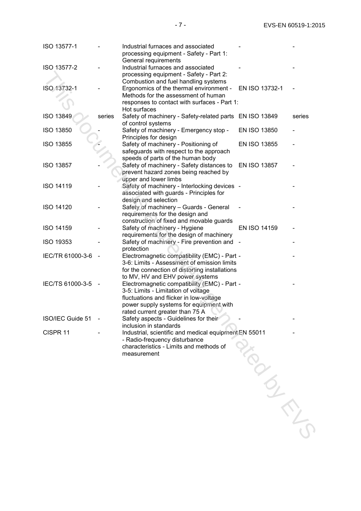| ISO 13577-1      |        | Industrial furnaces and associated<br>processing equipment - Safety - Part 1:<br>General requirements                                                                                                        |                     |        |
|------------------|--------|--------------------------------------------------------------------------------------------------------------------------------------------------------------------------------------------------------------|---------------------|--------|
| ISO 13577-2      |        | Industrial furnaces and associated<br>processing equipment - Safety - Part 2:<br>Combustion and fuel handling systems                                                                                        |                     |        |
| ISO 13732-1      |        | Ergonomics of the thermal environment -<br>Methods for the assessment of human<br>responses to contact with surfaces - Part 1:<br>Hot surfaces                                                               | EN ISO 13732-1      |        |
| ISO 13849        | series | Safety of machinery - Safety-related parts EN ISO 13849<br>of control systems                                                                                                                                |                     | series |
| <b>ISO 13850</b> |        | Safety of machinery - Emergency stop -<br>Principles for design                                                                                                                                              | <b>EN ISO 13850</b> |        |
| ISO 13855        |        | Safety of machinery - Positioning of<br>safeguards with respect to the approach<br>speeds of parts of the human body                                                                                         | <b>EN ISO 13855</b> |        |
| <b>ISO 13857</b> |        | Safety of machinery - Safety distances to<br>prevent hazard zones being reached by                                                                                                                           | EN ISO 13857        |        |
| <b>ISO 14119</b> |        | upper and lower limbs<br>Safety of machinery - Interlocking devices -<br>associated with guards - Principles for                                                                                             |                     |        |
| <b>ISO 14120</b> |        | design and selection<br>Safety of machinery - Guards - General<br>requirements for the design and                                                                                                            |                     |        |
| <b>ISO 14159</b> |        | construction of fixed and movable guards<br>Safety of machinery - Hygiene                                                                                                                                    | EN ISO 14159        |        |
| <b>ISO 19353</b> |        | requirements for the design of machinery<br>Safety of machinery - Fire prevention and                                                                                                                        |                     |        |
| IEC/TR 61000-3-6 |        | protection<br>Electromagnetic compatibility (EMC) - Part -<br>3-6: Limits - Assessment of emission limits<br>for the connection of distorting installations<br>to MV, HV and EHV power systems               |                     |        |
| IEC/TS 61000-3-5 |        | Electromagnetic compatibility (EMC) - Part -<br>3-5: Limits - Limitation of voltage<br>fluctuations and flicker in low-voltage<br>power supply systems for equipment with<br>rated current greater than 75 A |                     |        |
| ISO/IEC Guide 51 |        | Safety aspects - Guidelines for their<br>inclusion in standards                                                                                                                                              |                     |        |
| CISPR 11         |        | Industrial, scientific and medical equipment EN 55011<br>- Radio-frequency disturbance<br>characteristics - Limits and methods of<br>measurement                                                             |                     |        |
|                  |        |                                                                                                                                                                                                              |                     |        |
|                  |        |                                                                                                                                                                                                              |                     |        |
|                  |        |                                                                                                                                                                                                              |                     |        |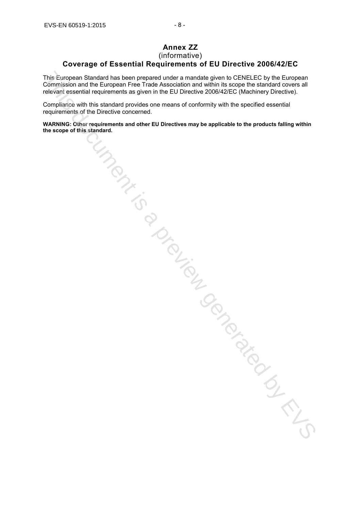## **Annex ZZ**

#### (informative)

#### **Coverage of Essential Requirements of EU Directive 2006/42/EC**

This European Standard has been prepared under a mandate given to CENELEC by the European Commission and the European Free Trade Association and within its scope the standard covers all relevant essential requirements as given in the EU Directive 2006/42/EC (Machinery Directive).

Compliance with this standard provides one means of conformity with the specified essential requirements of the Directive concerned.

**WARNING: Other requirements and other EU Directives may be applicable to the products falling within the scope of this standard.**

This durange Standard has burean prepared under a membride ojeen is CENdELEC by the European Finance in The Company Finance and which is a conject EC to the European Finance in the Company of the Company of the Company of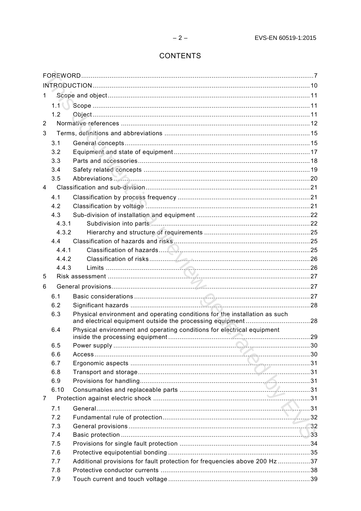#### **CONTENTS**

| 1.             |         |                                                                            |     |  |  |  |
|----------------|---------|----------------------------------------------------------------------------|-----|--|--|--|
|                | $1.1$ ( |                                                                            |     |  |  |  |
|                | 1.2     |                                                                            |     |  |  |  |
| 2              |         |                                                                            |     |  |  |  |
| 3              |         |                                                                            |     |  |  |  |
|                | 3.1     |                                                                            |     |  |  |  |
|                | 3.2     |                                                                            |     |  |  |  |
|                | 3.3     |                                                                            |     |  |  |  |
|                | 3.4     |                                                                            |     |  |  |  |
|                | 3.5     |                                                                            |     |  |  |  |
| 4              |         |                                                                            |     |  |  |  |
|                | 4.1     |                                                                            |     |  |  |  |
|                | 4.2     |                                                                            |     |  |  |  |
|                | 4.3     |                                                                            |     |  |  |  |
|                | 4.3.1   |                                                                            |     |  |  |  |
|                | 4.3.2   |                                                                            |     |  |  |  |
|                | 4.4     |                                                                            |     |  |  |  |
|                | 4.4.1   |                                                                            |     |  |  |  |
|                | 4.4.2   |                                                                            |     |  |  |  |
|                | 4.4.3   |                                                                            |     |  |  |  |
| 5              |         |                                                                            |     |  |  |  |
| 6              |         |                                                                            |     |  |  |  |
|                | 6.1     |                                                                            |     |  |  |  |
|                | 6.2     |                                                                            |     |  |  |  |
|                | 6.3     | Physical environment and operating conditions for the installation as such |     |  |  |  |
|                |         |                                                                            |     |  |  |  |
|                | 6.4     | Physical environment and operating conditions for electrical equipment     | .29 |  |  |  |
|                | 6.5     |                                                                            |     |  |  |  |
|                | 6.6     |                                                                            |     |  |  |  |
|                | 6.7     |                                                                            |     |  |  |  |
|                | 6.8     |                                                                            |     |  |  |  |
|                | 6.9     |                                                                            |     |  |  |  |
|                | 6.10    |                                                                            |     |  |  |  |
| $\overline{7}$ |         |                                                                            |     |  |  |  |
|                | 7.1     |                                                                            |     |  |  |  |
|                | 7.2     |                                                                            |     |  |  |  |
|                | 7.3     |                                                                            |     |  |  |  |
|                | 7.4     |                                                                            |     |  |  |  |
|                | 7.5     |                                                                            |     |  |  |  |
|                | 7.6     |                                                                            |     |  |  |  |
|                | 7.7     | Additional provisions for fault protection for frequencies above 200 Hz 37 |     |  |  |  |
|                | 7.8     |                                                                            |     |  |  |  |
|                | 7.9     |                                                                            |     |  |  |  |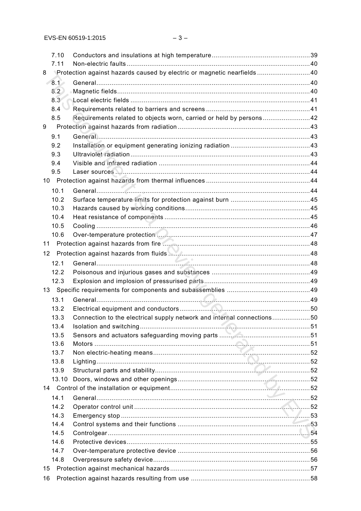|    | 7.10  |                                                                        |  |
|----|-------|------------------------------------------------------------------------|--|
|    | 7.11  |                                                                        |  |
| 8  |       | Protection against hazards caused by electric or magnetic nearfields40 |  |
|    | 8.1   |                                                                        |  |
|    | 8.2   |                                                                        |  |
|    | 8.3   |                                                                        |  |
|    | 8.4   |                                                                        |  |
|    | 8.5   |                                                                        |  |
| 9  |       |                                                                        |  |
|    | 9.1   |                                                                        |  |
|    | 9.2   |                                                                        |  |
|    | 9.3   |                                                                        |  |
|    | 9.4   |                                                                        |  |
|    | 9.5   |                                                                        |  |
|    |       |                                                                        |  |
|    | 10.1  |                                                                        |  |
|    | 10.2  |                                                                        |  |
|    | 10.3  |                                                                        |  |
|    | 10.4  |                                                                        |  |
|    | 10.5  |                                                                        |  |
|    | 10.6  |                                                                        |  |
| 11 |       |                                                                        |  |
| 12 |       |                                                                        |  |
|    | 12.1  |                                                                        |  |
|    | 12.2  |                                                                        |  |
|    | 12.3  |                                                                        |  |
|    |       |                                                                        |  |
|    | 13.1  |                                                                        |  |
|    | 13.2  |                                                                        |  |
|    | 13.3  | Connection to the electrical supply network and internal connections50 |  |
|    | 13.4  |                                                                        |  |
|    | 13.5  |                                                                        |  |
|    | 13.6  |                                                                        |  |
|    | 13.7  |                                                                        |  |
|    | 13.8  |                                                                        |  |
|    | 13.9  |                                                                        |  |
|    | 13.10 |                                                                        |  |
|    |       |                                                                        |  |
|    | 14.1  |                                                                        |  |
|    | 14.2  |                                                                        |  |
|    | 14.3  |                                                                        |  |
|    | 14.4  |                                                                        |  |
|    | 14.5  |                                                                        |  |
|    | 14.6  |                                                                        |  |
|    | 14.7  |                                                                        |  |
|    | 14.8  |                                                                        |  |
| 15 |       |                                                                        |  |
| 16 |       |                                                                        |  |
|    |       |                                                                        |  |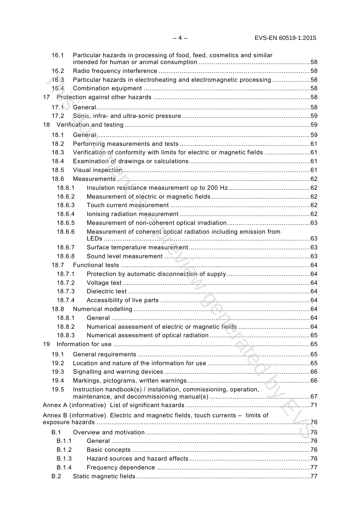| 16.1         | Particular hazards in processing of food, feed, cosmetics and similar                 |  |
|--------------|---------------------------------------------------------------------------------------|--|
|              |                                                                                       |  |
| 16.2         |                                                                                       |  |
| 16.3         | Particular hazards in electroheating and electromagnetic processing58                 |  |
| 16.4         |                                                                                       |  |
|              |                                                                                       |  |
|              |                                                                                       |  |
| 17.2         |                                                                                       |  |
|              |                                                                                       |  |
| 18.1         |                                                                                       |  |
| 18.2         |                                                                                       |  |
| 18.3         | Verification of conformity with limits for electric or magnetic fields 61             |  |
| 18.4         |                                                                                       |  |
| 18.5         |                                                                                       |  |
| 18.6         |                                                                                       |  |
| 18.6.1       |                                                                                       |  |
| 18.6.2       |                                                                                       |  |
| 18.6.3       |                                                                                       |  |
| 18.6.4       |                                                                                       |  |
| 18.6.5       |                                                                                       |  |
| 18.6.6       | Measurement of coherent optical radiation including emission from                     |  |
| 18.6.7       |                                                                                       |  |
| 18.6.8       |                                                                                       |  |
| 18.7         |                                                                                       |  |
| 18.7.1       |                                                                                       |  |
| 18.7.2       |                                                                                       |  |
| 18.7.3       |                                                                                       |  |
| 18.7.4       |                                                                                       |  |
| 18.8         |                                                                                       |  |
| 18.8.1       |                                                                                       |  |
| 18.8.2       |                                                                                       |  |
| 18.8.3       |                                                                                       |  |
| 19           |                                                                                       |  |
| 19.1         |                                                                                       |  |
| 19.2         |                                                                                       |  |
| 19.3         |                                                                                       |  |
| 19.4         |                                                                                       |  |
| 19.5         | Instruction handbook(s) / installation, commissioning, operation,                     |  |
|              |                                                                                       |  |
|              | N 7<br>Annex B (informative) Electric and magnetic fields, touch currents - limits of |  |
|              |                                                                                       |  |
| B.1          |                                                                                       |  |
| B.1.1        |                                                                                       |  |
| <b>B.1.2</b> |                                                                                       |  |
| <b>B.1.3</b> |                                                                                       |  |
| <b>B.1.4</b> |                                                                                       |  |
| B.2          |                                                                                       |  |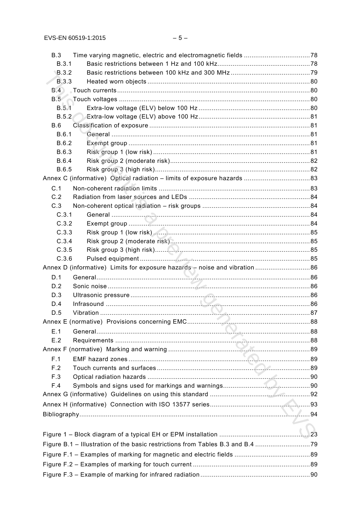| B.3          |  |
|--------------|--|
| B.3.1        |  |
| <b>B.3.2</b> |  |
| <b>B.3.3</b> |  |
|              |  |
|              |  |
| B.5.1        |  |
| B.5.2        |  |
| B.6<br>B.6.1 |  |
| B.6.2        |  |
| B.6.3        |  |
| B.6.4        |  |
| B.6.5        |  |
|              |  |
| C.1          |  |
| C.2          |  |
| C.3          |  |
| C.3.1        |  |
| C.3.2        |  |
| C.3.3        |  |
| C.3.4        |  |
| C.3.5        |  |
| C.3.6        |  |
|              |  |
| D.1          |  |
| D.2          |  |
| D.3          |  |
| D.4          |  |
| D.5          |  |
|              |  |
| E.1          |  |
| E.2          |  |
|              |  |
| F.1          |  |
| F.2          |  |
| F.3          |  |
| F.4          |  |
|              |  |
|              |  |
|              |  |
|              |  |
|              |  |
|              |  |
|              |  |
|              |  |
|              |  |
|              |  |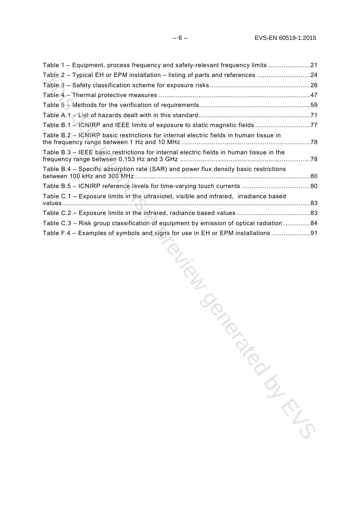| Table 1 – Equipment, process frequency and safety-relevant frequency limits 21          |  |
|-----------------------------------------------------------------------------------------|--|
| Table 2 - Typical EH or EPM installation - listing of parts and references 24           |  |
|                                                                                         |  |
|                                                                                         |  |
|                                                                                         |  |
|                                                                                         |  |
| Table B.1 - ICNIRP and IEEE limits of exposure to static magnetic fields 77             |  |
| Table B.2 - ICNIRP basic restrictions for internal electric fields in human tissue in   |  |
| Table B.3 - IEEE basic restrictions for internal electric fields in human tissue in the |  |
| Table B.4 - Specific absorption rate (SAR) and power flux density basic restrictions    |  |
|                                                                                         |  |
| Table C.1 - Exposure limits in the ultraviolet, visible and infrared, irradiance based  |  |
|                                                                                         |  |
| Table C.3 - Risk group classification of equipment by emission of optical radiation 84  |  |
| Table F.4 – Examples of symbols and signs for use in EH or EPM installations 91         |  |
| ion is in the composition<br>TON BIGO                                                   |  |
|                                                                                         |  |